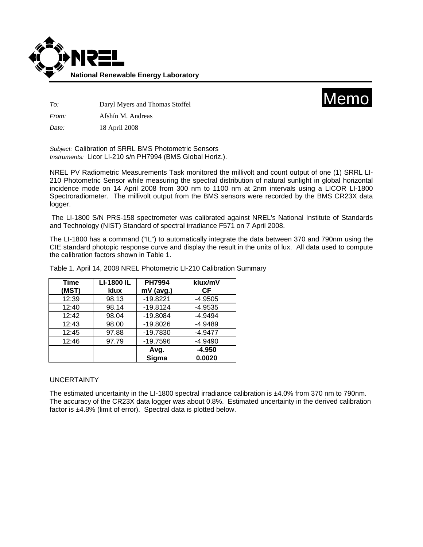



*To:* Daryl Myers and Thomas Stoffel

*From:* Afshín M. Andreas

*Date:* 18 April 2008

*Subject:* Calibration of SRRL BMS Photometric Sensors *Instruments:* Licor LI-210 s/n PH7994 (BMS Global Horiz.).

NREL PV Radiometric Measurements Task monitored the millivolt and count output of one (1) SRRL LI-210 Photometric Sensor while measuring the spectral distribution of natural sunlight in global horizontal incidence mode on 14 April 2008 from 300 nm to 1100 nm at 2nm intervals using a LICOR LI-1800 Spectroradiometer. The millivolt output from the BMS sensors were recorded by the BMS CR23X data logger.

 The LI-1800 S/N PRS-158 spectrometer was calibrated against NREL's National Institute of Standards and Technology (NIST) Standard of spectral irradiance F571 on 7 April 2008.

The LI-1800 has a command ("IL") to automatically integrate the data between 370 and 790nm using the CIE standard photopic response curve and display the result in the units of lux. All data used to compute the calibration factors shown in Table 1.

| Time<br>(MST) | <b>LI-1800 IL</b><br>klux | <b>PH7994</b><br>mV (avg.) | klux/mV<br>СF |
|---------------|---------------------------|----------------------------|---------------|
| 12:39         | 98.13                     | $-19.8221$                 | $-4.9505$     |
| 12:40         | 98.14                     | $-19.8124$                 | $-4.9535$     |
| 12:42         | 98.04                     | $-19.8084$                 | $-4.9494$     |
| 12:43         | 98.00                     | $-19.8026$                 | $-4.9489$     |
| 12:45         | 97.88                     | $-19.7830$                 | $-4.9477$     |
| 12:46         | 97.79                     | $-19.7596$                 | $-4.9490$     |
|               |                           | Avg.                       | $-4.950$      |
|               |                           | Sigma                      | 0.0020        |

Table 1. April 14, 2008 NREL Photometric LI-210 Calibration Summary

## UNCERTAINTY

The estimated uncertainty in the LI-1800 spectral irradiance calibration is ±4.0% from 370 nm to 790nm. The accuracy of the CR23X data logger was about 0.8%. Estimated uncertainty in the derived calibration factor is ±4.8% (limit of error). Spectral data is plotted below.